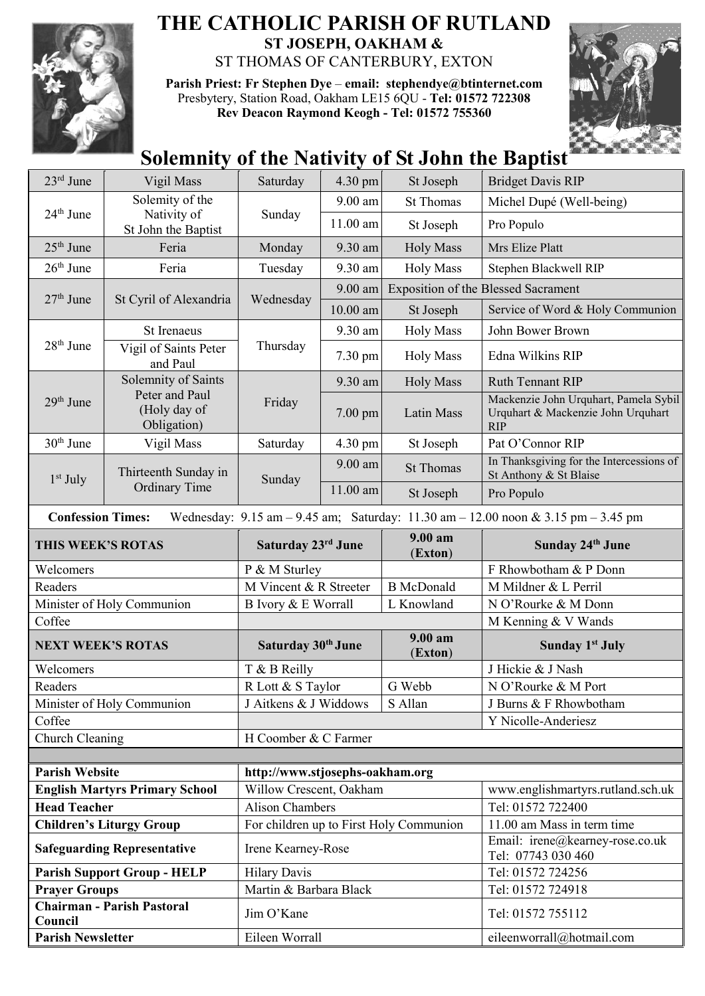

## **THE CATHOLIC PARISH OF RUTLAND ST JOSEPH, OAKHAM &**  ST THOMAS OF CANTERBURY, EXTON

**Parish Priest: Fr Stephen Dye** – **[email: stephendye@btinternet.com](mailto:email:%20%20stephendye@btinternet.com)** Presbytery, Station Road, Oakham LE15 6QU - **Tel: 01572 722308 Rev Deacon Raymond Keogh - Tel: 01572 755360**



## **Solemnity of the Nativity of St John the Baptist**

| $23rd$ June                                                  | Vigil Mass                                    | Saturday                                          | 4.30 pm    | St Joseph          | <b>Bridget Davis RIP</b>                                                                                                                |
|--------------------------------------------------------------|-----------------------------------------------|---------------------------------------------------|------------|--------------------|-----------------------------------------------------------------------------------------------------------------------------------------|
|                                                              | Solemity of the                               |                                                   | 9.00 am    | <b>St Thomas</b>   | Michel Dupé (Well-being)                                                                                                                |
| 24 <sup>th</sup> June                                        | Nativity of<br>St John the Baptist            | Sunday                                            | 11.00 am   | St Joseph          | Pro Populo                                                                                                                              |
| $25th$ June                                                  | Feria                                         | Monday                                            | 9.30 am    | <b>Holy Mass</b>   | Mrs Elize Platt                                                                                                                         |
| $26th$ June                                                  | Feria                                         | Tuesday                                           | 9.30 am    | <b>Holy Mass</b>   | Stephen Blackwell RIP                                                                                                                   |
| $27th$ June                                                  | St Cyril of Alexandria                        | Wednesday                                         | $9.00$ am  |                    | <b>Exposition of the Blessed Sacrament</b>                                                                                              |
|                                                              |                                               |                                                   | $10.00$ am | St Joseph          | Service of Word & Holy Communion                                                                                                        |
|                                                              | <b>St Irenaeus</b>                            | Thursday                                          | 9.30 am    | <b>Holy Mass</b>   | John Bower Brown                                                                                                                        |
| $28th$ June                                                  | Vigil of Saints Peter<br>and Paul             |                                                   | 7.30 pm    | <b>Holy Mass</b>   | Edna Wilkins RIP                                                                                                                        |
| 29 <sup>th</sup> June                                        | Solemnity of Saints                           | Friday                                            | 9.30 am    | <b>Holy Mass</b>   | Ruth Tennant RIP                                                                                                                        |
|                                                              | Peter and Paul<br>(Holy day of<br>Obligation) |                                                   | $7.00$ pm  | Latin Mass         | Mackenzie John Urquhart, Pamela Sybil<br>Urquhart & Mackenzie John Urquhart<br><b>RIP</b>                                               |
| 30 <sup>th</sup> June                                        | Vigil Mass                                    | Saturday                                          | 4.30 pm    | St Joseph          | Pat O'Connor RIP                                                                                                                        |
| $1st$ July                                                   | Thirteenth Sunday in                          | Sunday                                            | $9.00$ am  | <b>St Thomas</b>   | In Thanksgiving for the Intercessions of<br>St Anthony & St Blaise                                                                      |
|                                                              | <b>Ordinary Time</b>                          |                                                   | $11.00$ am | St Joseph          | Pro Populo                                                                                                                              |
| <b>Confession Times:</b>                                     |                                               |                                                   |            |                    | Wednesday: $9.15 \text{ am} - 9.45 \text{ am}$ ; Saturday: $11.30 \text{ am} - 12.00 \text{ noon} \& 3.15 \text{ pm} - 3.45 \text{ pm}$ |
| THIS WEEK'S ROTAS                                            |                                               | Saturday 23rd June                                |            | 9.00 am<br>(Exton) | Sunday 24th June                                                                                                                        |
| Welcomers                                                    |                                               | P & M Sturley                                     |            |                    | F Rhowbotham & P Donn                                                                                                                   |
| Readers                                                      |                                               | M Vincent & R Streeter                            |            | <b>B</b> McDonald  | M Mildner & L Perril                                                                                                                    |
| Minister of Holy Communion                                   |                                               | B Ivory & E Worrall                               |            | L Knowland         | N O'Rourke & M Donn                                                                                                                     |
| Coffee                                                       |                                               |                                                   |            |                    | M Kenning & V Wands                                                                                                                     |
| <b>NEXT WEEK'S ROTAS</b>                                     |                                               | Saturday 30th June                                |            | 9.00 am<br>(Exton) | <b>Sunday 1st July</b>                                                                                                                  |
| Welcomers                                                    |                                               | T & B Reilly                                      |            |                    | J Hickie & J Nash                                                                                                                       |
| Readers                                                      |                                               | R Lott & S Taylor                                 |            | G Webb             | N O'Rourke & M Port                                                                                                                     |
| Minister of Holy Communion                                   |                                               | J Aitkens & J Widdows<br>S Allan                  |            |                    | J Burns & F Rhowbotham                                                                                                                  |
| Coffee                                                       |                                               |                                                   |            |                    | Y Nicolle-Anderiesz                                                                                                                     |
| Church Cleaning                                              |                                               | H Coomber & C Farmer                              |            |                    |                                                                                                                                         |
| <b>Parish Website</b>                                        |                                               | http://www.stjosephs-oakham.org                   |            |                    |                                                                                                                                         |
|                                                              |                                               |                                                   |            |                    | www.englishmartyrs.rutland.sch.uk                                                                                                       |
| <b>English Martyrs Primary School</b><br><b>Head Teacher</b> |                                               | Willow Crescent, Oakham<br><b>Alison Chambers</b> |            |                    | Tel: 01572 722400                                                                                                                       |
|                                                              | <b>Children's Liturgy Group</b>               | For children up to First Holy Communion           |            |                    | 11.00 am Mass in term time                                                                                                              |
|                                                              | <b>Safeguarding Representative</b>            | Irene Kearney-Rose                                |            |                    | Email: irene@kearney-rose.co.uk<br>Tel: 07743 030 460                                                                                   |
|                                                              | <b>Parish Support Group - HELP</b>            | <b>Hilary Davis</b>                               |            |                    | Tel: 01572 724256                                                                                                                       |
| <b>Prayer Groups</b>                                         |                                               | Martin & Barbara Black                            |            |                    |                                                                                                                                         |
|                                                              |                                               |                                                   |            |                    | Tel: 01572 724918                                                                                                                       |
| Council                                                      | <b>Chairman - Parish Pastoral</b>             | Jim O'Kane                                        |            |                    | Tel: 01572 755112                                                                                                                       |